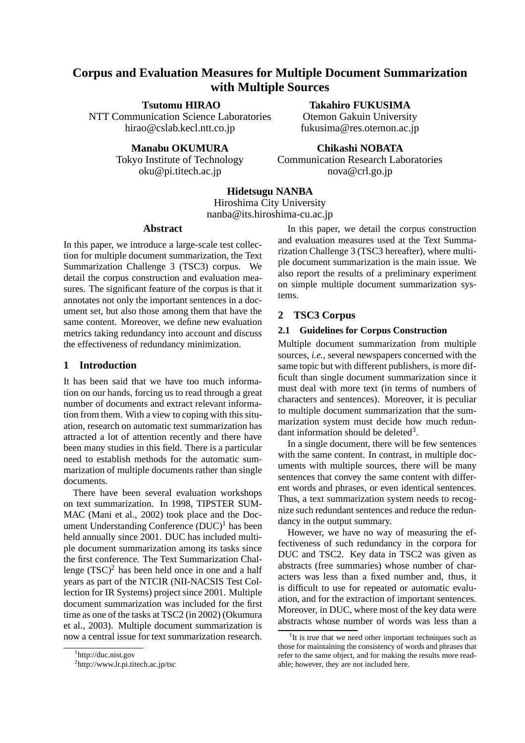# **Corpus and Evaluation Measures for Multiple Document Summarization with Multiple Sources**

**Tsutomu HIRAO**

NTT Communication Science Laboratories hirao@cslab.kecl.ntt.co.jp

### **Manabu OKUMURA**

Tokyo Institute of Technology oku@pi.titech.ac.jp

**Chikashi NOBATA** Communication Research Laboratories nova@crl.go.jp

**Takahiro FUKUSIMA** Otemon Gakuin University fukusima@res.otemon.ac.jp

# **Hidetsugu NANBA**

Hiroshima City University nanba@its.hiroshima-cu.ac.jp

# **Abstract**

In this paper, we introduce a large-scale test collection for multiple document summarization, the Text Summarization Challenge 3 (TSC3) corpus. We detail the corpus construction and evaluation measures. The significant feature of the corpus is that it annotates not only the important sentences in a document set, but also those among them that have the same content. Moreover, we define new evaluation metrics taking redundancy into account and discuss the effectiveness of redundancy minimization.

# **1 Introduction**

It has been said that we have too much information on our hands, forcing us to read through a great number of documents and extract relevant information from them. With a view to coping with this situation, research on automatic text summarization has attracted a lot of attention recently and there have been many studies in this field. There is a particular need to establish methods for the automatic summarization of multiple documents rather than single documents.

There have been several evaluation workshops on text summarization. In 1998, TIPSTER SUM-MAC (Mani et al., 2002) took place and the Document Understanding Conference  $(DUC)^1$  has been held annually since 2001. DUC has included multiple document summarization among its tasks since the first conference. The Text Summarization Challenge  $(TSC)^2$  has been held once in one and a half years as part of the NTCIR (NII-NACSIS Test Collection for IR Systems) project since 2001. Multiple document summarization was included for the first time as one of the tasks at TSC2 (in 2002) (Okumura et al., 2003). Multiple document summarization is now a central issue for text summarization research.

In this paper, we detail the corpus construction and evaluation measures used at the Text Summarization Challenge 3 (TSC3 hereafter), where multiple document summarization is the main issue. We also report the results of a preliminary experiment on simple multiple document summarization systems.

# **2 TSC3 Corpus**

### **2.1 Guidelines for Corpus Construction**

Multiple document summarization from multiple sources, *i.e.*, several newspapers concerned with the same topic but with different publishers, is more difficult than single document summarization since it must deal with more text (in terms of numbers of characters and sentences). Moreover, it is peculiar to multiple document summarization that the summarization system must decide how much redundant information should be deleted<sup>3</sup>.

In a single document, there will be few sentences with the same content. In contrast, in multiple documents with multiple sources, there will be many sentences that convey the same content with different words and phrases, or even identical sentences. Thus, a text summarization system needs to recognize such redundant sentences and reduce the redundancy in the output summary.

However, we have no way of measuring the effectiveness of such redundancy in the corpora for DUC and TSC2. Key data in TSC2 was given as abstracts (free summaries) whose number of characters was less than a fixed number and, thus, it is difficult to use for repeated or automatic evaluation, and for the extraction of important sentences. Moreover, in DUC, where most of the key data were abstracts whose number of words was less than a

<sup>1</sup> http://duc.nist.gov

<sup>2</sup> http://www.lr.pi.titech.ac.jp/tsc

<sup>&</sup>lt;sup>3</sup>It is true that we need other important techniques such as those for maintaining the consistency of words and phrases that refer to the same object, and for making the results more readable; however, they are not included here.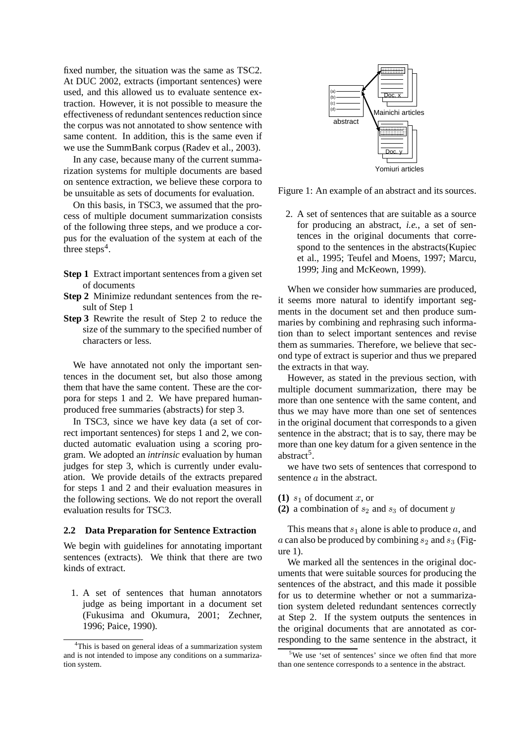fixed number, the situation was the same as TSC2. At DUC 2002, extracts (important sentences) were used, and this allowed us to evaluate sentence extraction. However, it is not possible to measure the effectiveness of redundant sentences reduction since the corpus was not annotated to show sentence with same content. In addition, this is the same even if we use the SummBank corpus (Radev et al., 2003).

In any case, because many of the current summarization systems for multiple documents are based on sentence extraction, we believe these corpora to be unsuitable as sets of documents for evaluation.

On this basis, in TSC3, we assumed that the process of multiple document summarization consists of the following three steps, and we produce a corpus for the evaluation of the system at each of the three steps<sup>4</sup>.

- **Step 1** Extract important sentences from a given set of documents
- **Step 2** Minimize redundant sentences from the result of Step 1
- **Step 3** Rewrite the result of Step 2 to reduce the size of the summary to the specified number of characters or less.

We have annotated not only the important sentences in the document set, but also those among them that have the same content. These are the corpora for steps 1 and 2. We have prepared humanproduced free summaries (abstracts) for step 3.

In TSC3, since we have key data (a set of correct important sentences) for steps 1 and 2, we conducted automatic evaluation using a scoring program. We adopted an *intrinsic* evaluation by human judges for step 3, which is currently under evaluation. We provide details of the extracts prepared for steps 1 and 2 and their evaluation measures in the following sections. We do not report the overall evaluation results for TSC3.

### **2.2 Data Preparation for Sentence Extraction**

We begin with guidelines for annotating important sentences (extracts). We think that there are two kinds of extract.

1. A set of sentences that human annotators judge as being important in a document set (Fukusima and Okumura, 2001; Zechner, 1996; Paice, 1990).



Figure 1: An example of an abstract and its sources.

2. A set of sentences that are suitable as a source for producing an abstract, *i.e.*, a set of sentences in the original documents that correspond to the sentences in the abstracts(Kupiec et al., 1995; Teufel and Moens, 1997; Marcu, 1999; Jing and McKeown, 1999).

When we consider how summaries are produced, it seems more natural to identify important segments in the document set and then produce summaries by combining and rephrasing such information than to select important sentences and revise them as summaries. Therefore, we believe that second type of extract is superior and thus we prepared the extracts in that way.

However, as stated in the previous section, with multiple document summarization, there may be more than one sentence with the same content, and thus we may have more than one set of sentences in the original document that corresponds to a given sentence in the abstract; that is to say, there may be more than one key datum for a given sentence in the abstract<sup>5</sup>.

we have two sets of sentences that correspond to sentence  $a$  in the abstract.

- **(1)**  $s_1$  of document  $x$ , or
- **(2)** a combination of  $s_2$  and  $s_3$  of document y

This means that  $s_1$  alone is able to produce a, and a can also be produced by combining  $s_2$  and  $s_3$  (Figure 1).

We marked all the sentences in the original documents that were suitable sources for producing the sentences of the abstract, and this made it possible for us to determine whether or not a summarization system deleted redundant sentences correctly at Step 2. If the system outputs the sentences in the original documents that are annotated as corresponding to the same sentence in the abstract, it

<sup>&</sup>lt;sup>4</sup>This is based on general ideas of a summarization system and is not intended to impose any conditions on a summarization system.

<sup>&</sup>lt;sup>5</sup>We use 'set of sentences' since we often find that more than one sentence corresponds to a sentence in the abstract.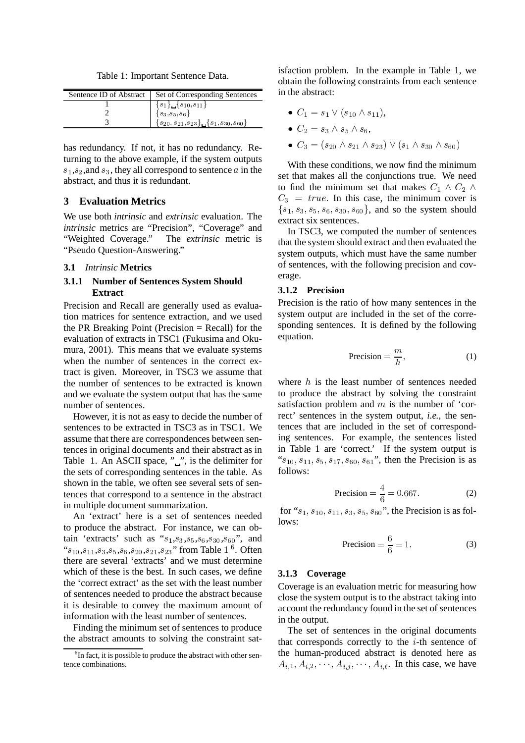Table 1: Important Sentence Data.

| Sentence ID of Abstract | Set of Corresponding Sentences                           |
|-------------------------|----------------------------------------------------------|
|                         | ${s_1} \{s_{10}, s_{11}\}$                               |
|                         | $\{s_3, s_5, s_6\}$                                      |
|                         | $\{s_{20}, s_{21}, s_{23}\}\$ $\{s_1, s_{30}, s_{60}\}\$ |

has redundancy. If not, it has no redundancy. Returning to the above example, if the system outputs  $s_1, s_2$ , and  $s_3$ , they all correspond to sentence  $a$  in the abstract, and thus it is redundant.

# **3 Evaluation Metrics**

We use both *intrinsic* and *extrinsic* evaluation. The *intrinsic* metrics are "Precision", "Coverage" and "Weighted Coverage." The *extrinsic* metric is "Pseudo Question-Answering."

### **3.1** *Intrinsic* **Metrics**

### **3.1.1 Number of Sentences System Should Extract**

Precision and Recall are generally used as evaluation matrices for sentence extraction, and we used the PR Breaking Point (Precision = Recall) for the evaluation of extracts in TSC1 (Fukusima and Okumura, 2001). This means that we evaluate systems when the number of sentences in the correct extract is given. Moreover, in TSC3 we assume that the number of sentences to be extracted is known and we evaluate the system output that has the same number of sentences.

However, it is not as easy to decide the number of sentences to be extracted in TSC3 as in TSC1. We assume that there are correspondences between sentences in original documents and their abstract as in Table 1. An ASCII space, " $\frac{1}{2}$ ", is the delimiter for the sets of corresponding sentences in the table. As shown in the table, we often see several sets of sentences that correspond to a sentence in the abstract in multiple document summarization.

An 'extract' here is a set of sentences needed to produce the abstract. For instance, we can obtain 'extracts' such as " $s_1, s_3, s_5, s_6, s_{30}, s_{60}$ ", and " $s_{10}, s_{11}, s_3, s_5, s_6, s_{20}, s_{21}, s_{23}$ " from Table 1<sup>6</sup>. Often there are several 'extracts' and we must determine which of these is the best. In such cases, we define the 'correct extract' as the set with the least number of sentences needed to produce the abstract because it is desirable to convey the maximum amount of information with the least number of sentences.

Finding the minimum set of sentences to produce the abstract amounts to solving the constraint satisfaction problem. In the example in Table 1, we obtain the following constraints from each sentence in the abstract:

- $C_1 = s_1 \vee (s_{10} \wedge s_{11}),$
- $\bullet$   $C_2 = s_3 \wedge s_5 \wedge s_6$
- $\bullet$   $C_3 = (s_{20} \wedge s_{21} \wedge s_{23}) \vee (s_1 \wedge s_{30} \wedge s_{60})$

With these conditions, we now find the minimum set that makes all the conjunctions true. We need to find the minimum set that makes  $C_1 \wedge C_2 \wedge$  $C_3 = true$ . In this case, the minimum cover is **A A A A A A A A**  $s_1, s_3, s_5, s_6, s_{30}, s_{60}$ , and so the system should extract six sentences.

In TSC3, we computed the number of sentences that the system should extract and then evaluated the system outputs, which must have the same number of sentences, with the following precision and coverage.

### **3.1.2 Precision**

Precision is the ratio of how many sentences in the system output are included in the set of the corresponding sentences. It is defined by the following equation.

$$
Precision = \frac{m}{h},\tag{1}
$$

where  $h$  is the least number of sentences needed to produce the abstract by solving the constraint satisfaction problem and  $m$  is the number of 'correct' sentences in the system output, *i.e.*, the sentences that are included in the set of corresponding sentences. For example, the sentences listed in Table 1 are 'correct.' If the system output is " $s_{10}, s_{11}, s_5, s_{17}, s_{60}, s_{61}$ ", then the Precision is as follows:

$$
Precision = \frac{4}{6} = 0.667.
$$
 (2)

for " $s_1$ ,  $s_{10}$ ,  $s_{11}$ ,  $s_3$ ,  $s_5$ ,  $s_{60}$ ", the Precision is as follows:

$$
Precision = \frac{6}{6} = 1.
$$
 (3)

#### **3.1.3 Coverage**

Coverage is an evaluation metric for measuring how close the system output is to the abstract taking into account the redundancy found in the set of sentences in the output.

The set of sentences in the original documents that corresponds correctly to the  $i$ -th sentence of the human-produced abstract is denoted here as  $A_{i,1}, A_{i,2}, \cdots, A_{i,j}, \cdots, A_{i,\ell}$ . In this case, we have

<sup>&</sup>lt;sup>6</sup>In fact, it is possible to produce the abstract with other sentence combinations.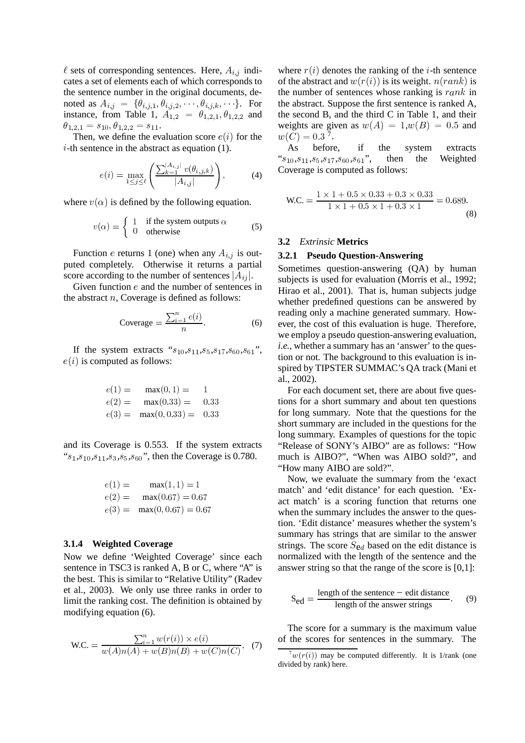$\ell$  sets of corresponding sentences. Here,  $A_{i,j}$  indicates a set of elements each of which corresponds to the sentence number in the original documents, denoted as  $A_{i,j} = \{\theta_{i,j,1}, \theta_{i,j,2}, \cdots, \theta_{i,j,k}, \cdots\}$ . For instance, from Table 1,  $A_{1,2} = \theta_{1,2,1}, \theta_{1,2,2}$  and  $\theta_{1,2,1}=s_{10}, \theta_{1,2,2}=s_{11}.$ 

Then, we define the evaluation score  $e(i)$  for the  $i$ -th sentence in the abstract as equation (1).

$$
e(i) = \max_{1 \le j \le \ell} \left( \frac{\sum_{k=1}^{|A_{i,j}|} v(\theta_{i,j,k})}{|A_{i,j}|} \right),
$$
 (4)

where  $v(\alpha)$  is defined by the following equation.

$$
v(\alpha) = \begin{cases} 1 & \text{if the system outputs } \alpha \\ 0 & \text{otherwise} \end{cases}
$$
 (5)

Function e returns 1 (one) when any  $A_{i,j}$  is outputed completely. Otherwise it returns a partial score according to the number of sentences  $|A_{ij}|$ .

Given function  $e$  and the number of sentences in the abstract  $n$ , Coverage is defined as follows:

$$
\text{Coverage} = \frac{\sum_{i=1}^{n} e(i)}{n}.
$$
 (6)

If the system extracts " $s_{10}, s_{11}, s_5, s_{17}, s_{60}, s_{61}$ ",  $e(i)$  is computed as follows:

$$
e(1) = \max(0, 1) = 1
$$
  
\n
$$
e(2) = \max(0.33) = 0.33
$$
  
\n
$$
e(3) = \max(0, 0.33) = 0.33
$$

and its Coverage is 0.553. If the system extracts " $s_1, s_{10}, s_{11}, s_3, s_5, s_{60}$ ", then the Coverage is 0.780.

$$
e(1) = \max(1, 1) = 1
$$
  
\n
$$
e(2) = \max(0.67) = 0.67
$$
  
\n
$$
e(3) = \max(0, 0.67) = 0.67
$$

### **3.1.4 Weighted Coverage**

Now we define 'Weighted Coverage' since each sentence in TSC3 is ranked A, B or C, where "A" is the best. This is similar to "Relative Utility" (Radev et al., 2003). We only use three ranks in order to limit the ranking cost. The definition is obtained by modifying equation (6).

$$
\text{W.C.} = \frac{\sum_{i=1}^{n} w(r(i)) \times e(i)}{w(A)n(A) + w(B)n(B) + w(C)n(C)}, \tag{7}
$$

where  $r(i)$  denotes the ranking of the *i*-th sentence of the abstract and  $w(r(i))$  is its weight.  $n(rank)$  is the number of sentences whose ranking is  $rank$  in the abstract. Suppose the first sentence is ranked A, the second B, and the third C in Table 1, and their weights are given as  $w(A) = 1, w(B) = 0.5$  and  $w(\bar{C}) = 0.3^{\bar{7}}.$ 

As before, if the system extracts  $``s_{10},\!s_{11},\!s_5,\!s_{17},\!s_{60},\!s_{61}" ,$ then the Weighted Coverage is computed as follows:

$$
\text{W.C.} = \frac{1 \times 1 + 0.5 \times 0.33 + 0.3 \times 0.33}{1 \times 1 + 0.5 \times 1 + 0.3 \times 1} = 0.689.
$$
\n(8)

#### **3.2** *Extrinsic* **Metrics**

### **3.2.1 Pseudo Question-Answering**

Sometimes question-answering (QA) by human subjects is used for evaluation (Morris et al., 1992; Hirao et al., 2001). That is, human subjects judge whether predefined questions can be answered by reading only a machine generated summary. However, the cost of this evaluation is huge. Therefore, we employ a pseudo question-answering evaluation, *i.e.*, whether a summary has an 'answer' to the question or not. The background to this evaluation is inspired by TIPSTER SUMMAC's QA track (Mani et al., 2002).

For each document set, there are about five questions for a short summary and about ten questions for long summary. Note that the questions for the short summary are included in the questions for the long summary. Examples of questions for the topic "Release of SONY's AIBO" are as follows: "How much is AIBO?", "When was AIBO sold?", and "How many AIBO are sold?".

Now, we evaluate the summary from the 'exact match' and 'edit distance' for each question. 'Exact match' is a scoring function that returns one when the summary includes the answer to the question. 'Edit distance' measures whether the system's summary has strings that are similar to the answer strings. The score  $S_{\text{ed}}$  based on the edit distance is normalized with the length of the sentence and the answer string so that the range of the score is [0,1]:

$$
S_{\text{ed}} = \frac{\text{length of the sentence} - \text{edit distance}}{\text{length of the answer strings}}.
$$
 (9)

The score for a summary is the maximum value of the scores for sentences in the summary. The

 $7w(r(i))$  may be computed differently. It is 1/rank (one divided by rank) here.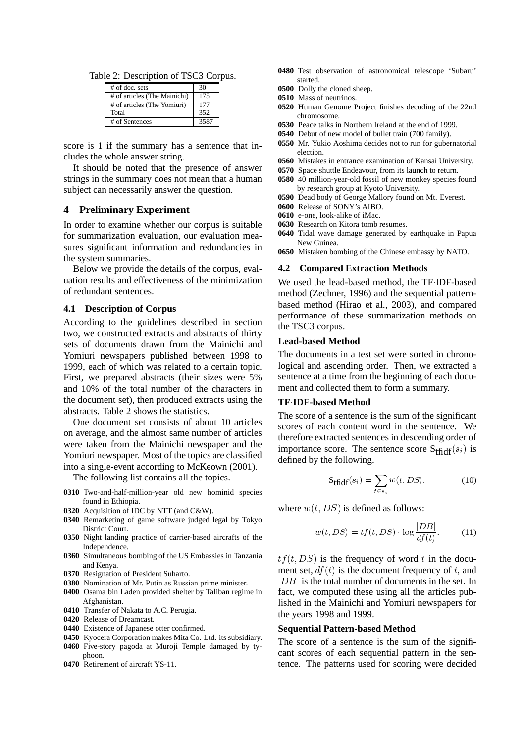Table 2: Description of TSC3 Corpus.

| $#$ of doc. sets             | 30   |
|------------------------------|------|
| # of articles (The Mainichi) | 175  |
| # of articles (The Yomiuri)  | 177  |
| Total                        | 352  |
| # of Sentences               | 3587 |

score is 1 if the summary has a sentence that includes the whole answer string.

It should be noted that the presence of answer strings in the summary does not mean that a human subject can necessarily answer the question.

### **4 Preliminary Experiment**

In order to examine whether our corpus is suitable for summarization evaluation, our evaluation measures significant information and redundancies in the system summaries.

Below we provide the details of the corpus, evaluation results and effectiveness of the minimization of redundant sentences.

#### **4.1 Description of Corpus**

According to the guidelines described in section two, we constructed extracts and abstracts of thirty sets of documents drawn from the Mainichi and Yomiuri newspapers published between 1998 to 1999, each of which was related to a certain topic. First, we prepared abstracts (their sizes were 5% and 10% of the total number of the characters in the document set), then produced extracts using the abstracts. Table 2 shows the statistics.

One document set consists of about 10 articles on average, and the almost same number of articles were taken from the Mainichi newspaper and the Yomiuri newspaper. Most of the topics are classified into a single-event according to McKeown (2001).

The following list contains all the topics.

- **0310** Two-and-half-million-year old new hominid species found in Ethiopia.
- **0320** Acquisition of IDC by NTT (and C&W).
- **0340** Remarketing of game software judged legal by Tokyo District Court.
- **0350** Night landing practice of carrier-based aircrafts of the Independence.
- **0360** Simultaneous bombing of the US Embassies in Tanzania and Kenya.
- **0370** Resignation of President Suharto.
- **0380** Nomination of Mr. Putin as Russian prime minister.
- **0400** Osama bin Laden provided shelter by Taliban regime in Afghanistan.
- **0410** Transfer of Nakata to A.C. Perugia.
- **0420** Release of Dreamcast.
- **0440** Existence of Japanese otter confirmed.
- **0450** Kyocera Corporation makes Mita Co. Ltd. its subsidiary.
- **0460** Five-story pagoda at Muroji Temple damaged by typhoon.
- **0470** Retirement of aircraft YS-11.
- **0480** Test observation of astronomical telescope 'Subaru' started.
- **0500** Dolly the cloned sheep.
- **0510** Mass of neutrinos.
- **0520** Human Genome Project finishes decoding of the 22nd chromosome.
- **0530** Peace talks in Northern Ireland at the end of 1999.
- **0540** Debut of new model of bullet train (700 family).
- **0550** Mr. Yukio Aoshima decides not to run for gubernatorial election.
- **0560** Mistakes in entrance examination of Kansai University.
- **0570** Space shuttle Endeavour, from its launch to return.
- **0580** 40 million-year-old fossil of new monkey species found by research group at Kyoto University.
- **0590** Dead body of George Mallory found on Mt. Everest.
- **0600** Release of SONY's AIBO.
- **0610** e-one, look-alike of iMac.
- **0630** Research on Kitora tomb resumes.
- **0640** Tidal wave damage generated by earthquake in Papua New Guinea.
- **0650** Mistaken bombing of the Chinese embassy by NATO.

#### **4.2 Compared Extraction Methods**

We used the lead-based method, the TF IDF-based method (Zechner, 1996) and the sequential patternbased method (Hirao et al., 2003), and compared performance of these summarization methods on the TSC3 corpus.

### **Lead-based Method**

The documents in a test set were sorted in chronological and ascending order. Then, we extracted a sentence at a time from the beginning of each document and collected them to form a summary.

#### **TF IDF-based Method**

The score of a sentence is the sum of the significant scores of each content word in the sentence. We therefore extracted sentences in descending order of importance score. The sentence score  $S_{tfidf}(s_i)$  is defined by the following.

$$
S_{tfidf}(s_i) = \sum_{t \in s_i} w(t, DS), \tag{10}
$$

where  $w(t,DS)$  is defined as follows:

$$
w(t, DS) = tf(t, DS) \cdot \log \frac{|DB|}{df(t)}.
$$
 (11)

 $tf(t, DS)$  is the frequency of word t in the document set,  $df(t)$  is the document frequency of t, and  $|DB|$  is the total number of documents in the set. In fact, we computed these using all the articles published in the Mainichi and Yomiuri newspapers for the years 1998 and 1999.

#### **Sequential Pattern-based Method**

The score of a sentence is the sum of the significant scores of each sequential pattern in the sentence. The patterns used for scoring were decided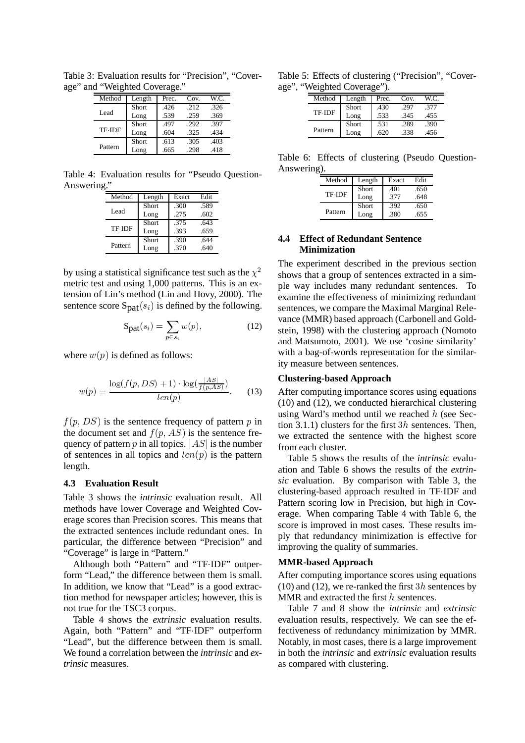Table 3: Evaluation results for "Precision", "Coverage" and "Weighted Coverage."

| Method  | Length       | Prec. | Cov. | W.C. |
|---------|--------------|-------|------|------|
|         | <b>Short</b> | .426  | -212 | .326 |
| Lead    | Long         | .539  | .259 | .369 |
|         | <b>Short</b> | .497  | .292 | .397 |
| TF IDF  | Long         | .604  | .325 | .434 |
|         | <b>Short</b> | .613  | .305 | .403 |
| Pattern | Long         | .665  | .298 | .418 |

Table 4: Evaluation results for "Pseudo Question-Answering."

| Method  | Length | Exact | Edit |
|---------|--------|-------|------|
|         | Short  | .300  | .589 |
| Lead    | Long   | .275  | .602 |
|         | Short  | .375  | .643 |
| TF IDF  | Long   | .393  | .659 |
|         | Short  | .390  | .644 |
| Pattern | Long   | .370  | .640 |

by using a statistical significance test such as the  $\chi^2$  shows the metric test and using 1,000 patterns. This is an extension of Lin's method (Lin and Hovy, 2000). The sentence score  $\text{Spat}(s_i)$  is defined by the following.

$$
\mathbf{S}_{\mathbf{pat}}(s_i) = \sum_{p \in s_i} w(p),\tag{12}
$$

where  $w(p)$  is defined as follows:

$$
w(p) = \frac{\log(f(p, DS) + 1) \cdot \log(\frac{|AS|}{f(p, AS)})}{len(p)}.
$$
 (13)

 $f(p,DS)$  is the sentence frequency of pattern p in tion the document set and  $f(p, AS)$  is the sentence frequency of pattern p in all topics.  $|AS|$  is the number of sentences in all topics and  $len(p)$  is the pattern length.

#### **4.3 Evaluation Result**

Table 3 shows the *intrinsic* evaluation result. All methods have lower Coverage and Weighted Coverage scores than Precision scores. This means that the extracted sentences include redundant ones. In particular, the difference between "Precision" and "Coverage" is large in "Pattern."

Although both "Pattern" and "TF-IDF" outperform "Lead," the difference between them is small. In addition, we know that "Lead" is a good extraction method for newspaper articles; however, this is not true for the TSC3 corpus.

Table 4 shows the *extrinsic* evaluation results. Again, both "Pattern" and "TF-IDF" outperform "Lead", but the difference between them is small. We found a correlation between the *intrinsic* and *extrinsic* measures.

Table 5: Effects of clustering ("Precision", "Coverage", "Weighted Coverage").

| Method  | Length | Prec.  | Cov.  | W.C. |
|---------|--------|--------|-------|------|
|         | Short  | $-430$ | - 197 | .377 |
| TF IDF  | Long   | .533   | .345  | .455 |
|         | Short  | .531   | .289  | .390 |
| Pattern | Long   | -620   | .338  | .456 |

Table 6: Effects of clustering (Pseudo Question-Answering).

| Method  | Length | Exact | Edit |
|---------|--------|-------|------|
|         | Short  | .401  | .650 |
| TF IDF  | Long   | .377  | .648 |
|         | Short  | .392  | .650 |
| Pattern | Long   | .380  | .655 |

# **4.4 Effect of Redundant Sentence Minimization**

 shows that a group of sentences extracted in a sim-The experiment described in the previous section ple way includes many redundant sentences. To examine the effectiveness of minimizing redundant sentences, we compare the Maximal Marginal Relevance (MMR) based approach (Carbonell and Goldstein, 1998) with the clustering approach (Nomoto and Matsumoto, 2001). We use 'cosine similarity' with a bag-of-words representation for the similarity measure between sentences.

#### **Clustering-based Approach**

After computing importance scores using equations (10) and (12), we conducted hierarchical clustering using Ward's method until we reached  $h$  (see Section 3.1.1) clusters for the first  $3h$  sentences. Then, we extracted the sentence with the highest score from each cluster.

Table 5 shows the results of the *intrinsic* evaluation and Table 6 shows the results of the *extrinsic* evaluation. By comparison with Table 3, the clustering-based approach resulted in TF IDF and Pattern scoring low in Precision, but high in Coverage. When comparing Table 4 with Table 6, the score is improved in most cases. These results imply that redundancy minimization is effective for improving the quality of summaries.

#### **MMR-based Approach**

After computing importance scores using equations (10) and (12), we re-ranked the first  $3h$  sentences by MMR and extracted the first  $h$  sentences.

Table 7 and 8 show the *intrinsic* and *extrinsic* evaluation results, respectively. We can see the effectiveness of redundancy minimization by MMR. Notably, in most cases, there is a large improvement in both the *intrinsic* and *extrinsic* evaluation results as compared with clustering.